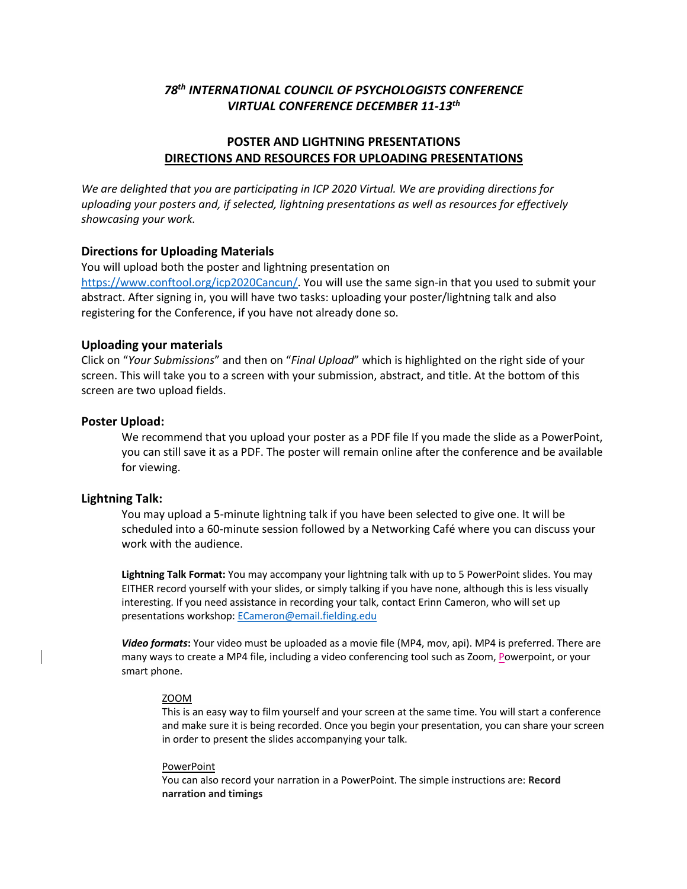# *78th INTERNATIONAL COUNCIL OF PSYCHOLOGISTS CONFERENCE VIRTUAL CONFERENCE DECEMBER 11-13th*

## **POSTER AND LIGHTNING PRESENTATIONS DIRECTIONS AND RESOURCES FOR UPLOADING PRESENTATIONS**

*We are delighted that you are participating in ICP 2020 Virtual. We are providing directions for uploading your posters and, if selected, lightning presentations as well as resources for effectively showcasing your work.*

## **Directions for Uploading Materials**

You will upload both the poster and lightning presentation on

https://www.conftool.org/icp2020Cancun/. You will use the same sign-in that you used to submit your abstract. After signing in, you will have two tasks: uploading your poster/lightning talk and also registering for the Conference, if you have not already done so.

## **Uploading your materials**

Click on "*Your Submissions*" and then on "*Final Upload*" which is highlighted on the right side of your screen. This will take you to a screen with your submission, abstract, and title. At the bottom of this screen are two upload fields.

### **Poster Upload:**

We recommend that you upload your poster as a PDF file If you made the slide as a PowerPoint, you can still save it as a PDF. The poster will remain online after the conference and be available for viewing.

### **Lightning Talk:**

You may upload a 5-minute lightning talk if you have been selected to give one. It will be scheduled into a 60-minute session followed by a Networking Café where you can discuss your work with the audience.

**Lightning Talk Format:** You may accompany your lightning talk with up to 5 PowerPoint slides. You may EITHER record yourself with your slides, or simply talking if you have none, although this is less visually interesting. If you need assistance in recording your talk, contact Erinn Cameron, who will set up presentations workshop: ECameron@email.fielding.edu

*Video formats***:** Your video must be uploaded as a movie file (MP4, mov, api). MP4 is preferred. There are many ways to create a MP4 file, including a video conferencing tool such as Zoom, Powerpoint, or your smart phone.

#### ZOOM

This is an easy way to film yourself and your screen at the same time. You will start a conference and make sure it is being recorded. Once you begin your presentation, you can share your screen in order to present the slides accompanying your talk.

#### PowerPoint

You can also record your narration in a PowerPoint. The simple instructions are: **Record narration and timings**